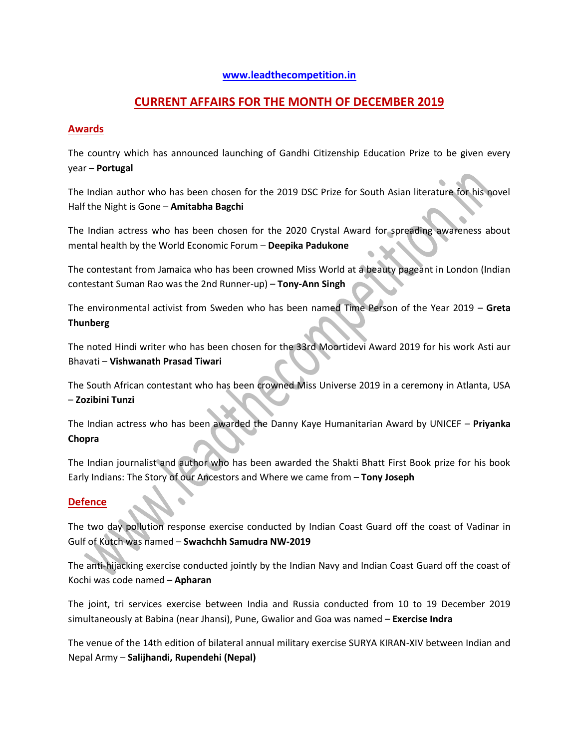### **[www.leadthecompetition.in](http://www.leadthecompetition.in/)**

# **CURRENT AFFAIRS FOR THE MONTH OF DECEMBER 2019**

### **Awards**

The country which has announced launching of Gandhi Citizenship Education Prize to be given every year – **Portugal**

The Indian author who has been chosen for the 2019 DSC Prize for South Asian literature for his novel Half the Night is Gone – **Amitabha Bagchi**

The Indian actress who has been chosen for the 2020 Crystal Award for spreading awareness about mental health by the World Economic Forum – **Deepika Padukone**

The contestant from Jamaica who has been crowned Miss World at a beauty pageant in London (Indian contestant Suman Rao was the 2nd Runner-up) – **Tony-Ann Singh**

The environmental activist from Sweden who has been named Time Person of the Year 2019 – **Greta Thunberg**

The noted Hindi writer who has been chosen for the 33rd Moortidevi Award 2019 for his work Asti aur Bhavati – **Vishwanath Prasad Tiwari**

The South African contestant who has been crowned Miss Universe 2019 in a ceremony in Atlanta, USA – **Zozibini Tunzi**

The Indian actress who has been awarded the Danny Kaye Humanitarian Award by UNICEF – **Priyanka Chopra**

The Indian journalist and author who has been awarded the Shakti Bhatt First Book prize for his book Early Indians: The Story of our Ancestors and Where we came from – **Tony Joseph**

## **Defence**

The two day pollution response exercise conducted by Indian Coast Guard off the coast of Vadinar in Gulf of Kutch was named – **Swachchh Samudra NW-2019**

The anti-hijacking exercise conducted jointly by the Indian Navy and Indian Coast Guard off the coast of Kochi was code named – **Apharan**

The joint, tri services exercise between India and Russia conducted from 10 to 19 December 2019 simultaneously at Babina (near Jhansi), Pune, Gwalior and Goa was named – **Exercise Indra**

The venue of the 14th edition of bilateral annual military exercise SURYA KIRAN-XIV between Indian and Nepal Army – **Salijhandi, Rupendehi (Nepal)**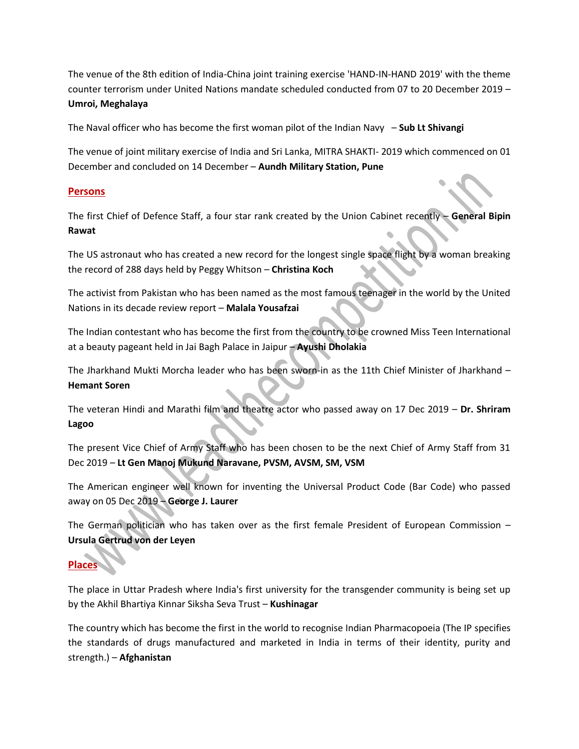The venue of the 8th edition of India-China joint training exercise 'HAND-IN-HAND 2019' with the theme counter terrorism under United Nations mandate scheduled conducted from 07 to 20 December 2019 – **Umroi, Meghalaya**

The Naval officer who has become the first woman pilot of the Indian Navy – **Sub Lt Shivangi**

The venue of joint military exercise of India and Sri Lanka, MITRA SHAKTI- 2019 which commenced on 01 December and concluded on 14 December – **Aundh Military Station, Pune**

### **Persons**

The first Chief of Defence Staff, a four star rank created by the Union Cabinet recently – **General Bipin Rawat**

The US astronaut who has created a new record for the longest single space flight by a woman breaking the record of 288 days held by Peggy Whitson – **Christina Koch**

The activist from Pakistan who has been named as the most famous teenager in the world by the United Nations in its decade review report – **Malala Yousafzai**

The Indian contestant who has become the first from the country to be crowned Miss Teen International at a beauty pageant held in Jai Bagh Palace in Jaipur – **Ayushi Dholakia**

The Jharkhand Mukti Morcha leader who has been sworn-in as the 11th Chief Minister of Jharkhand – **Hemant Soren**

The veteran Hindi and Marathi film and theatre actor who passed away on 17 Dec 2019 – **Dr. Shriram Lagoo**

The present Vice Chief of Army Staff who has been chosen to be the next Chief of Army Staff from 31 Dec 2019 – **Lt Gen Manoj Mukund Naravane, PVSM, AVSM, SM, VSM**

The American engineer well known for inventing the Universal Product Code (Bar Code) who passed away on 05 Dec 2019 – **George J. Laurer**

The German politician who has taken over as the first female President of European Commission – **Ursula Gertrud von der Leyen**

# **Places**

The place in Uttar Pradesh where India's first university for the transgender community is being set up by the Akhil Bhartiya Kinnar Siksha Seva Trust – **Kushinagar**

The country which has become the first in the world to recognise Indian Pharmacopoeia (The IP specifies the standards of drugs manufactured and marketed in India in terms of their identity, purity and strength.) – **Afghanistan**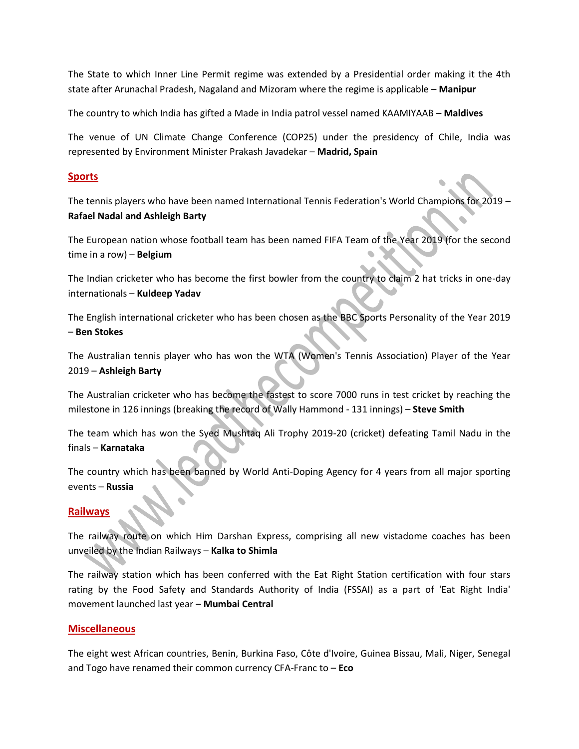The State to which Inner Line Permit regime was extended by a Presidential order making it the 4th state after Arunachal Pradesh, Nagaland and Mizoram where the regime is applicable – **Manipur**

The country to which India has gifted a Made in India patrol vessel named KAAMIYAAB – **Maldives**

The venue of UN Climate Change Conference (COP25) under the presidency of Chile, India was represented by Environment Minister Prakash Javadekar – **Madrid, Spain**

## **Sports**

The tennis players who have been named International Tennis Federation's World Champions for 2019 – **Rafael Nadal and Ashleigh Barty**

The European nation whose football team has been named FIFA Team of the Year 2019 (for the second time in a row) – **Belgium**

The Indian cricketer who has become the first bowler from the country to claim 2 hat tricks in one-day internationals – **Kuldeep Yadav**

The English international cricketer who has been chosen as the BBC Sports Personality of the Year 2019 – **Ben Stokes**

The Australian tennis player who has won the WTA (Women's Tennis Association) Player of the Year 2019 – **Ashleigh Barty**

The Australian cricketer who has become the fastest to score 7000 runs in test cricket by reaching the milestone in 126 innings (breaking the record of Wally Hammond - 131 innings) – **Steve Smith**

The team which has won the Syed Mushtaq Ali Trophy 2019-20 (cricket) defeating Tamil Nadu in the finals – **Karnataka**

The country which has been banned by World Anti-Doping Agency for 4 years from all major sporting events – **Russia**

## **Railways**

The railway route on which Him Darshan Express, comprising all new vistadome coaches has been unveiled by the Indian Railways – **Kalka to Shimla**

The railway station which has been conferred with the Eat Right Station certification with four stars rating by the Food Safety and Standards Authority of India (FSSAI) as a part of 'Eat Right India' movement launched last year – **Mumbai Central**

## **Miscellaneous**

The eight west African countries, Benin, Burkina Faso, Côte d'Ivoire, Guinea Bissau, Mali, Niger, Senegal and Togo have renamed their common currency CFA-Franc to – **Eco**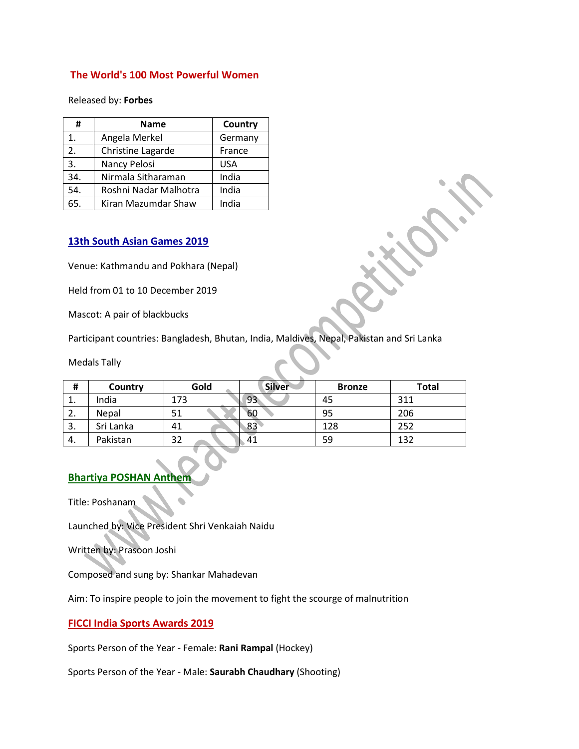#### **The World's 100 Most Powerful Women**

Released by: **Forbes**

| #              | <b>Name</b>           | Country    |
|----------------|-----------------------|------------|
| $\mathbf{1}$ . | Angela Merkel         | Germany    |
| 2.             | Christine Lagarde     | France     |
| 3.             | Nancy Pelosi          | <b>USA</b> |
| 34.            | Nirmala Sitharaman    | India      |
| 54.            | Roshni Nadar Malhotra | India      |
| 65.            | Kiran Mazumdar Shaw   | India      |

#### **13th South Asian Games 2019**

Venue: Kathmandu and Pokhara (Nepal)

Held from 01 to 10 December 2019

Mascot: A pair of blackbucks

Participant countries: Bangladesh, Bhutan, India, Maldives, Nepal, Pakistan and Sri Lanka

Medals Tally

| <br>п   | Country   | Gold | <b>Silver</b> | <b>Bronze</b> | <b>Total</b> |
|---------|-----------|------|---------------|---------------|--------------|
| ᆠ.      | India     | 173  | 93            | 45            | 311          |
| z.      | Nepal     | 51   | 60            | 95            | 206          |
| っ<br>э. | Sri Lanka | 41   | 83            | 128           | 252          |
| 4.      | Pakistan  | 32   | 41            | 59            | 132          |

## **Bhartiya POSHAN Anthem**

Title: Poshanam

Launched by: Vice President Shri Venkaiah Naidu

Written by: Prasoon Joshi

Composed and sung by: Shankar Mahadevan

Aim: To inspire people to join the movement to fight the scourge of malnutrition

#### **FICCI India Sports Awards 2019**

Sports Person of the Year - Female: **Rani Rampal** (Hockey)

Sports Person of the Year - Male: **Saurabh Chaudhary** (Shooting)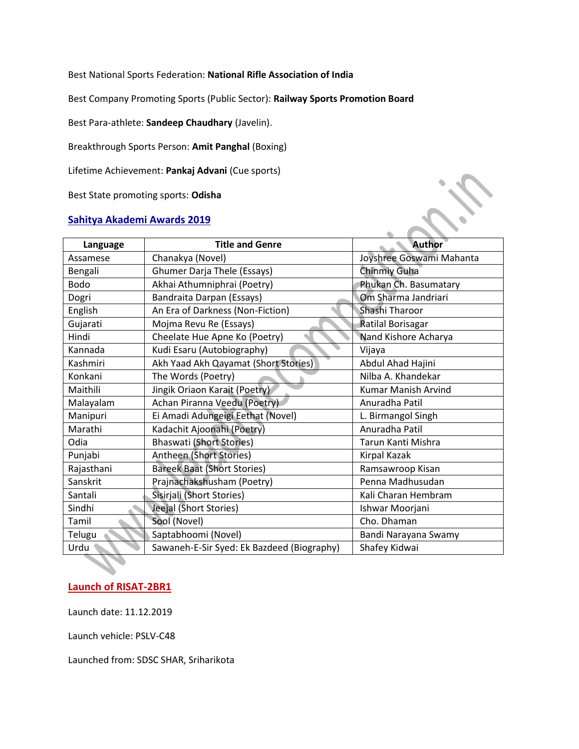Best National Sports Federation: **National Rifle Association of India**

Best Company Promoting Sports (Public Sector): **Railway Sports Promotion Board**

Best Para-athlete: **Sandeep Chaudhary** (Javelin).

Breakthrough Sports Person: **Amit Panghal** (Boxing)

Lifetime Achievement: **Pankaj Advani** (Cue sports)

Best State promoting sports: **Odisha**

#### **Sahitya Akademi Awards 2019**

| Language    | <b>Title and Genre</b>                     | <b>Author</b>              |  |
|-------------|--------------------------------------------|----------------------------|--|
| Assamese    | Chanakya (Novel)                           | Joyshree Goswami Mahanta   |  |
| Bengali     | <b>Ghumer Darja Thele (Essays)</b>         | Chinmiy Guha               |  |
| <b>Bodo</b> | Akhai Athumniphrai (Poetry)                | Phukan Ch. Basumatary      |  |
| Dogri       | Bandraita Darpan (Essays)                  | Om Sharma Jandriari        |  |
| English     | An Era of Darkness (Non-Fiction)           | Shashi Tharoor             |  |
| Gujarati    | Mojma Revu Re (Essays)                     | Ratilal Borisagar          |  |
| Hindi       | Cheelate Hue Apne Ko (Poetry)              | Nand Kishore Acharya       |  |
| Kannada     | Kudi Esaru (Autobiography)                 | Vijaya                     |  |
| Kashmiri    | Akh Yaad Akh Qayamat (Short Stories)       | Abdul Ahad Hajini          |  |
| Konkani     | The Words (Poetry)                         | Nilba A. Khandekar         |  |
| Maithili    | Jingik Oriaon Karait (Poetry)              | <b>Kumar Manish Arvind</b> |  |
| Malayalam   | Achan Piranna Veedu (Poetry)               | Anuradha Patil             |  |
| Manipuri    | Ei Amadi Adungeigi Eethat (Novel)          | L. Birmangol Singh         |  |
| Marathi     | Kadachit Ajoonahi (Poetry)                 | Anuradha Patil             |  |
| Odia        | <b>Bhaswati (Short Stories)</b>            | Tarun Kanti Mishra         |  |
| Punjabi     | Antheen (Short Stories)                    | Kirpal Kazak               |  |
| Rajasthani  | <b>Bareek Baat (Short Stories)</b>         | Ramsawroop Kisan           |  |
| Sanskrit    | Prajnachakshusham (Poetry)                 | Penna Madhusudan           |  |
| Santali     | Sisirjali (Short Stories)                  | Kali Charan Hembram        |  |
| Sindhi      | Jeejal (Short Stories)                     | Ishwar Moorjani            |  |
| Tamil       | Sool (Novel)                               | Cho. Dhaman                |  |
| Telugu      | Saptabhoomi (Novel)                        | Bandi Narayana Swamy       |  |
| Urdu        | Sawaneh-E-Sir Syed: Ek Bazdeed (Biography) | Shafey Kidwai              |  |

## **Launch of RISAT-2BR1**

Launch date: 11.12.2019

Launch vehicle: PSLV-C48

Launched from: SDSC SHAR, Sriharikota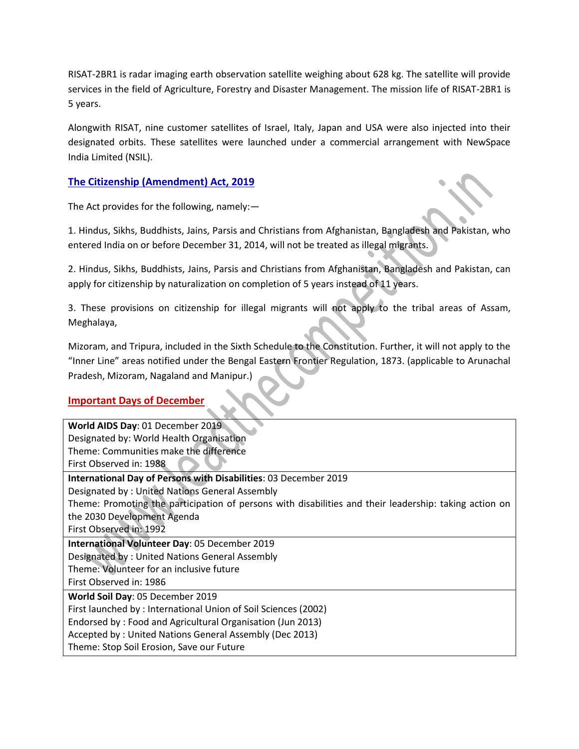RISAT-2BR1 is radar imaging earth observation satellite weighing about 628 kg. The satellite will provide services in the field of Agriculture, Forestry and Disaster Management. The mission life of RISAT-2BR1 is 5 years.

Alongwith RISAT, nine customer satellites of Israel, Italy, Japan and USA were also injected into their designated orbits. These satellites were launched under a commercial arrangement with NewSpace India Limited (NSIL).

## **The Citizenship (Amendment) Act, 2019**

The Act provides for the following, namely:—

1. Hindus, Sikhs, Buddhists, Jains, Parsis and Christians from Afghanistan, Bangladesh and Pakistan, who entered India on or before December 31, 2014, will not be treated as illegal migrants.

2. Hindus, Sikhs, Buddhists, Jains, Parsis and Christians from Afghanistan, Bangladesh and Pakistan, can apply for citizenship by naturalization on completion of 5 years instead of 11 years.

3. These provisions on citizenship for illegal migrants will not apply to the tribal areas of Assam, Meghalaya,

Mizoram, and Tripura, included in the Sixth Schedule to the Constitution. Further, it will not apply to the "Inner Line" areas notified under the Bengal Eastern Frontier Regulation, 1873. (applicable to Arunachal Pradesh, Mizoram, Nagaland and Manipur.)

## **Important Days of December**

| World AIDS Day: 01 December 2019                                                                       |  |  |
|--------------------------------------------------------------------------------------------------------|--|--|
| Designated by: World Health Organisation                                                               |  |  |
| Theme: Communities make the difference                                                                 |  |  |
| First Observed in: 1988                                                                                |  |  |
| International Day of Persons with Disabilities: 03 December 2019                                       |  |  |
| Designated by: United Nations General Assembly                                                         |  |  |
| Theme: Promoting the participation of persons with disabilities and their leadership: taking action on |  |  |
| the 2030 Development Agenda                                                                            |  |  |
| First Observed in: 1992                                                                                |  |  |
| International Volunteer Day: 05 December 2019                                                          |  |  |
| Designated by: United Nations General Assembly                                                         |  |  |
| Theme: Volunteer for an inclusive future                                                               |  |  |
| First Observed in: 1986                                                                                |  |  |
| World Soil Day: 05 December 2019                                                                       |  |  |
| First launched by: International Union of Soil Sciences (2002)                                         |  |  |
| Endorsed by: Food and Agricultural Organisation (Jun 2013)                                             |  |  |
| Accepted by: United Nations General Assembly (Dec 2013)                                                |  |  |
| Theme: Stop Soil Erosion, Save our Future                                                              |  |  |